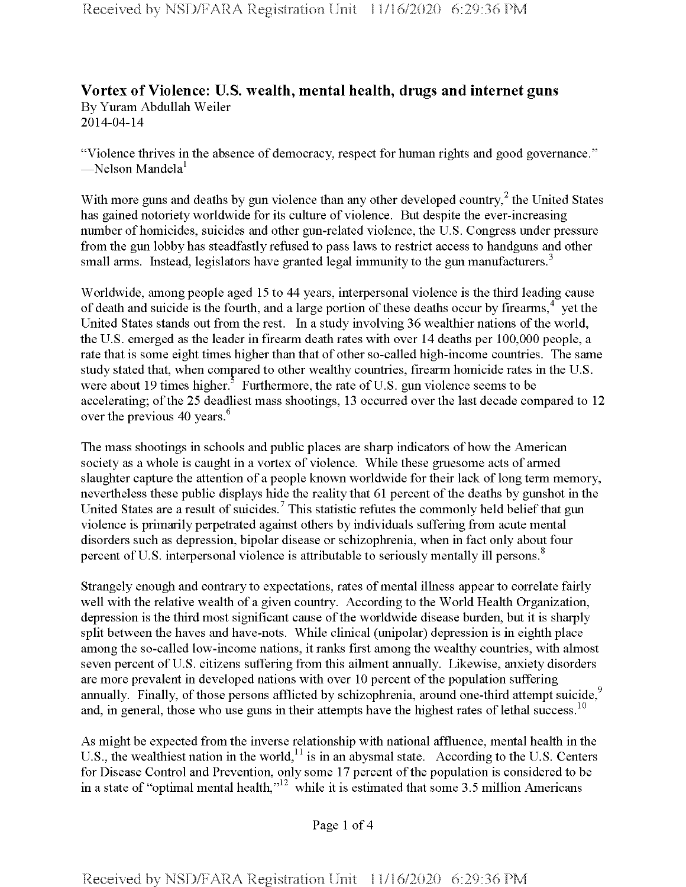## **Vortex of Violence: U.S. wealth, mental health, drugs and internet guns** By Yuram Abdullah Weiler 2014-04-14

"Violence thrives in the absence of democracy, respect for human rights and good governance." —Nelson Mandela $^1$ 

With more guns and deaths by gun violence than any other developed country,  $2$  the United States has gained notoriety worldwide for its culture of violence. But despite the ever-increasing number of homicides, suicides and other gun-related violence, the U.S. Congress under pressure from the gun lobby has steadfastly refused to pass laws to restrict access to handguns and other small arms. Instead, legislators have granted legal immunity to the gun manufacturers.<sup>3</sup>

Worldwide, among people aged 15 to 44 years, interpersonal violence is the third leading cause of death and suicide is the fourth, and a large portion of these deaths occur by firearms, $4\degree$  yet the United States stands out from the rest. In a study involving 36 wealthier nations of the world, the U.S. emerged as the leader in firearm death rates with over 14 deaths per 100,000 people, a rate that is some eight times higher than that of other so-called high-income countries. The same study stated that, when compared to other wealthy countries, firearm homicide rates in the U.S. were about 19 times higher.<sup>3</sup> Furthermore, the rate of U.S. gun violence seems to be accelerating; of the 25 deadliest mass shootings, 13 occurred over the last decade compared to 12 over the previous 40 years.<sup>6</sup>

The mass shootings in schools and public places are sharp indicators of how the American society as a whole is caught in a vortex of violence. While these gruesome acts of armed slaughter capture the attention of a people known worldwide for their lack of long term memory, nevertheless these public displays hide the reality that 61 percent of the deaths by gunshot in the United States are a result of suicides.<sup>7</sup> This statistic refutes the commonly held belief that gun violence is primarily perpetrated against others by individuals suffering from acute mental disorders such as depression, bipolar disease or schizophrenia, when in fact only about four percent of U.S. interpersonal violence is attributable to seriously mentally ill persons.<sup>8</sup>

Strangely enough and contrary to expectations, rates of mental illness appear to correlate fairly well with the relative wealth of a given country. According to the World Health Organization, depression is the third most significant cause of the worldwide disease burden, but it is sharply split between the haves and have-nots. While clinical (unipolar) depression is in eighth place among the so-called low-income nations, it ranks first among the wealthy countries, with almost seven percent of U.S. citizens suffering from this ailment annually. Likewise, anxiety disorders are more prevalent in developed nations with over 10 percent of the population suffering annually. Finally, of those persons afflicted by schizophrenia, around one-third attempt suicide,<sup>9</sup> and, in general, those who use guns in their attempts have the highest rates of lethal success.<sup>10</sup>

As might be expected from the inverse relationship with national affluence, mental health in the U.S., the wealthiest nation in the world,<sup>11</sup> is in an abysmal state. According to the U.S. Centers for Disease Control and Prevention, only some 17 percent of the population is considered to be in a state of "optimal mental health," $12$  while it is estimated that some 3.5 million Americans

Page <sup>1</sup> of 4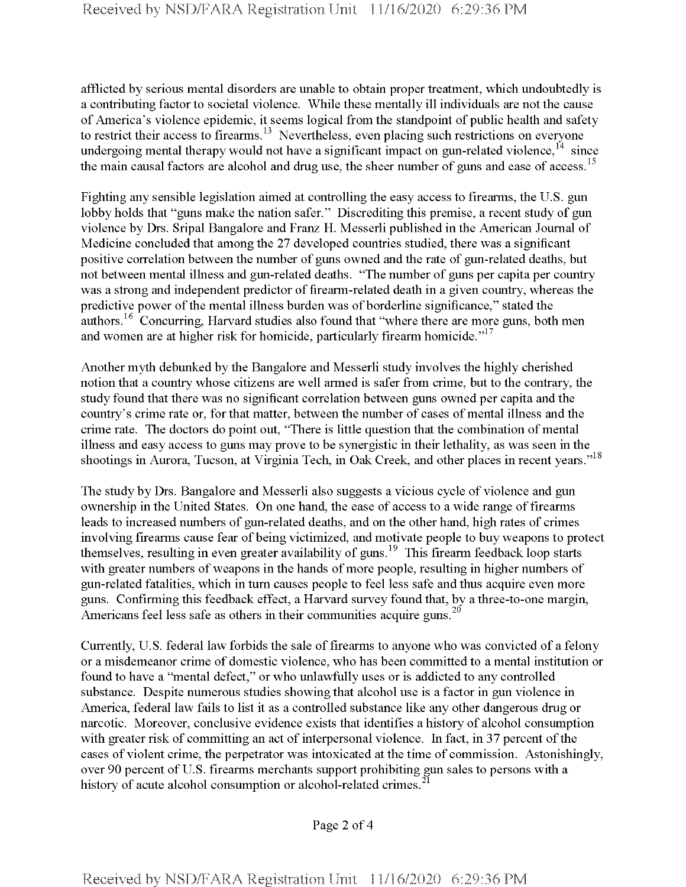afflicted by serious mental disorders are unable to obtain proper treatment, which undoubtedly is a contributing factor to societal violence. While these mentally ill individuals are not the cause ofAmerica's violence epidemic, it seems logical from the standpoint of public health and safety to restrict their access to firearms.<sup>13</sup> Nevertheless, even placing such restrictions on everyone undergoing mental therapy would not have a significant impact on gun-related violence,<sup>14</sup> since the main causal factors are alcohol and drug use, the sheer number of guns and ease of access.<sup>15</sup>

Fighting any sensible legislation aimed at controlling the easy access to firearms, the U.S. gun lobby holds that "guns make the nation safer." Discrediting this premise, a recent study of gun violence by Drs. Sripal Bangalore and Franz H. Messerli published in the American Journal of Medicine concluded that among the 27 developed countries studied, there was a significant positive correlation between the number of guns owned and the rate of gun-related deaths, but not between mental illness and gun-related deaths. "The number of guns per capita per country was a strong and independent predictor of firearm-related death in a given country, whereas the predictive power of the mental illness burden was of borderline significance," stated the authors.<sup>16</sup> Concurring, Harvard studies also found that "where there are more guns, both men and women are at higher risk for homicide, particularly firearm homicide. $117$ 

Another myth debunked by the Bangalore and Messerli study involves the highly cherished notion that a country whose citizens are well armed is safer from crime, but to the contrary, the study found that there was no significant correlation between guns owned per capita and the country's crime rate or, for that matter, between the number of cases of mental illness and the crime rate. The doctors do point out, "There is little question that the combination of mental illness and easy access to guns may prove to be synergistic in their lethality, as was seen in the shootings in Aurora, Tucson, at Virginia Tech, in Oak Creek, and other places in recent years."<sup>18</sup>

The study by Drs. Bangalore and Messerli also suggests a vicious cycle of violence and gun ownership in the United States. On one hand, the ease of access to a wide range offirearms leads to increased numbers of gun-related deaths, and on the other hand, high rates of crimes involving firearms cause fear of being victimized, and motivate people to buy weapons to protect themselves, resulting in even greater availability of guns.<sup>19</sup> This firearm feedback loop starts with greater numbers of weapons in the hands of more people, resulting in higher numbers of gun-related fatalities, which in turn causes people to feel less safe and thus acquire even more guns. Confirming this feedback effect, a Harvard survey found that, by a three-to-one margin, Americans feel less safe as others in their communities acquire guns.<sup>20</sup>

Currently, U.S. federal law forbids the sale of firearms to anyone who was convicted of a felony or a misdemeanor crime of domestic violence, who has been committed to a mental institution or found to have a "mental defect," or who unlawfully uses or is addicted to any controlled substance. Despite numerous studies showing that alcohol use is a factor in gun violence in America, federal law fails to list it as a controlled substance like any other dangerous drug or narcotic. Moreover, conclusive evidence exists that identifies a history of alcohol consumption with greater risk of committing an act of interpersonal violence. In fact, in 37 percent of the cases of violent crime, the perpetrator was intoxicated at the time of commission. Astonishingly, over 90 percent of U.S. firearms merchants support prohibiting gun sales to persons with a history of acute alcohol consumption or alcohol-related crimes.<sup>2</sup>

Page 2 of 4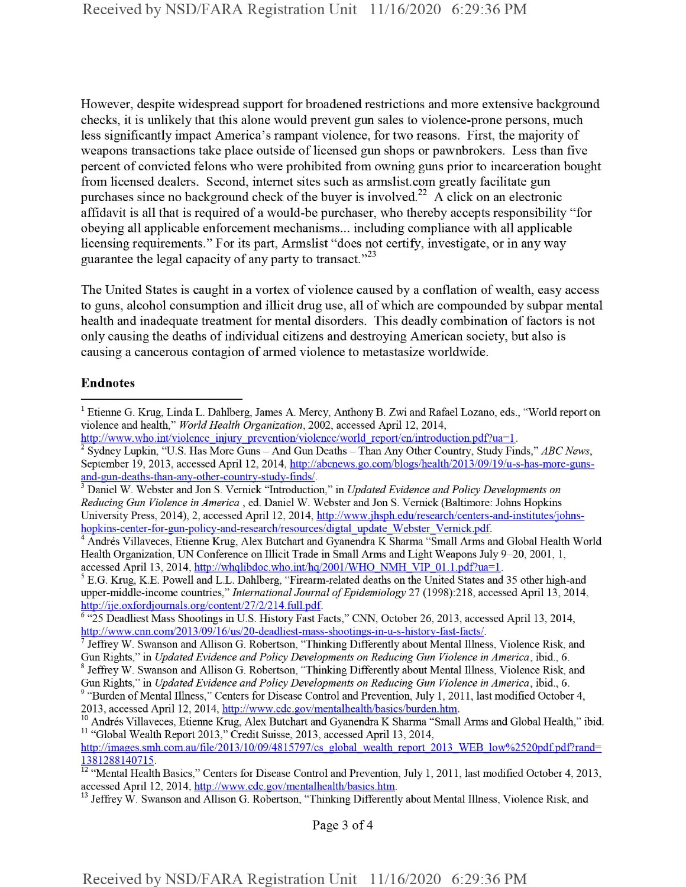However, despite widespread support for broadened restrictions and more extensive background checks, it is unlikely that this alone would prevent gun sales to violence-prone persons, much less significantly impact America's rampant violence, for two reasons. First, the majority of weapons transactions take place outside of licensed gun shops or pawnbrokers. Less than five percent of convicted felons who were prohibited from owning guns prior to incarceration bought from licensed dealers. Second, internet sites such as armslist.com greatly facilitate gun purchases since no background check of the buyer is involved.<sup>22</sup> A click on an electronic affidavit is all that is required of a would-be purchaser, who thereby accepts responsibility "for obeying all applicable enforcement mechanisms... including compliance with all applicable licensing requirements." For its part, Armslist "does not certify, investigate, or in any way guarantee the legal capacity of any party to transact."<sup>23</sup>

The United States is caught in a vortex of violence caused by a conflation of wealth, easy access to guns, alcohol consumption and illicit drug use, all of which are compounded by subpar mental health and inadequate treatment for mental disorders. This deadly combination of factors is not only causing the deaths ofindividual citizens and destroying American society, but also is causing a cancerous contagion of armed violence to metastasize worldwide.

## Endnotes

Page 3 of 4

<sup>1</sup> Etienne G. Krug, Linda L. Dahlberg, James A. Mercy, Anthony B. Zwi and Rafael Lozano, eds., "World report on violence and health," *World Health Organization*, 2002, accessed April 12, 2014,

http://www.who.int/violence\_injury\_prevention/violence/world report/en/introduction.pdf?ua=1.

<sup>2</sup> Sydney Lupkin, "U.S. Has More Guns - And Gun Deaths - Than Any Other Country, Study Finds," *ABCNews,* September 19, 2013, accessed April 12, 2014, http://abcnews.go.com/blogs/health/2013/09/19/u-s-has-more-gunsand-gun-deaths-than-anv-other-country-study-finds/.

<sup>3</sup> Daniel W. Webster and Jon S. Vemick "Introduction," in *Updated Evidence andPolicy Developments on Reducing Gun Violence in America* , ed. Daniel W. Webster and Jon S. Vernick (Baltimore: Johns Hopkins University Press, 2014), 2, accessed April 12, 2014, http://www.jhsph.edu/research/centers-and-institutes/johnshopkins-center-for-gun-policy-and-research/resources/digtal\_update\_Webster\_Vernick.pdf.

<sup>4</sup> Andres Villaveces, Etienne Krug, Alex Butchart and Gyanendra K Sharma "Small Arms and Global Health World Health Organization, UN Conference on Illicit Trade in Small Arms and Light Weapons July 9-20, 2001, 1, accessed April 13, 2014, http://whqlibdoc.who.int/hq/2001/WHO\_NMH\_VIP\_01.1.pdf?ua=1.

<sup>5</sup> E.G. Krug, K.E. Powell and L.L. Dahlberg, "Firearm-related deaths on the United States and 35 other high-and upper-middle-income countries," *International Journal ofEpidemiology* 27 (1998):218, accessed April 13, 2014, http://ije.oxfordjournals.org/content/27/2/214.full.pdf.

<sup>6</sup> "25 Deadliest Mass Shootings in U.S. History Fast Facts," CNN, October 26, 2013, accessed April 13, 2014, http://www.cnn.com/2013/09/16/us/20-deadliest-mass-shootings-in-u-s-history-fast-facts/.

<sup>7</sup> Jeffrey W. Swanson and Allison G. Robertson, "Thinking Differently about Mental Illness, Violence Risk, and Gun Rights," in *Updated Evidence and Policy Developments on Reducing Gun Violence in America,* ibid., 6.

<sup>&</sup>lt;sup>8</sup> Jeffrey W. Swanson and Allison G. Robertson, "Thinking Differently about Mental Illness, Violence Risk, and Gun Rights," in *Updated Evidence and Policy Developments on Reducing Gun Violence in America,* ibid., 6.

<sup>&</sup>lt;sup>9</sup> "Burden of Mental Illness," Centers for Disease Control and Prevention, July 1, 2011, last modified October 4, 2013, accessed April 12, 2014, http://www.cdc.gov/mentalhealth/basics/burden.htm.

<sup>&</sup>lt;sup>10</sup> Andrés Villaveces, Etienne Krug, Alex Butchart and Gyanendra K Sharma "Small Arms and Global Health," ibid. <sup>11</sup> "Global Wealth Report 2013," Credit Suisse, 2013, accessed April 13, 2014,

http://images.smh.com.au/file/2013/10/09/4815797/cs\_global\_wealth report\_2013\_WEB\_low%2520pdf.pdf?rand= 1381288140715.

<sup>&</sup>lt;sup>12</sup> "Mental Health Basics," Centers for Disease Control and Prevention, July 1, 2011, last modified October 4, 2013, accessed April 12, 2014, http://www.cdc.gov/mentalhealth/basics.htm.

<sup>&</sup>lt;sup>13</sup> Jeffrey W. Swanson and Allison G. Robertson, "Thinking Differently about Mental Illness, Violence Risk, and